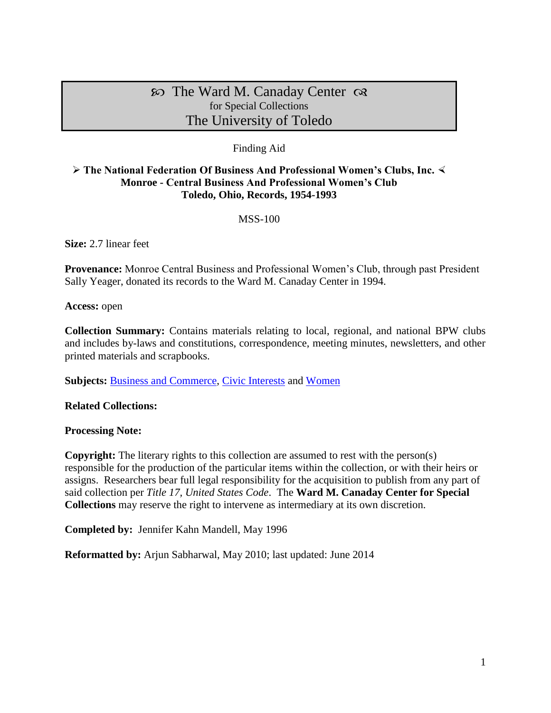# $\infty$  The Ward M. Canaday Center  $\infty$ for Special Collections The University of Toledo

## Finding Aid

### **The National Federation Of Business And Professional Women's Clubs, Inc. Monroe - Central Business And Professional Women's Club Toledo, Ohio, Records, 1954-1993**

#### MSS-100

**Size:** 2.7 linear feet

**Provenance:** Monroe Central Business and Professional Women's Club, through past President Sally Yeager, donated its records to the Ward M. Canaday Center in 1994.

**Access:** open

**Collection Summary:** Contains materials relating to local, regional, and national BPW clubs and includes by-laws and constitutions, correspondence, meeting minutes, newsletters, and other printed materials and scrapbooks.

Subjects: **Business and Commerce**, [Civic Interests](http://www.utoledo.edu/library/canaday/guidepages/civic.html) and [Women](http://www.utoledo.edu/library/canaday/guidepages/women.html)

**Related Collections:** 

**Processing Note:**

**Copyright:** The literary rights to this collection are assumed to rest with the person(s) responsible for the production of the particular items within the collection, or with their heirs or assigns. Researchers bear full legal responsibility for the acquisition to publish from any part of said collection per *Title 17, United States Code*. The **Ward M. Canaday Center for Special Collections** may reserve the right to intervene as intermediary at its own discretion.

**Completed by:** Jennifer Kahn Mandell, May 1996

**Reformatted by:** Arjun Sabharwal, May 2010; last updated: June 2014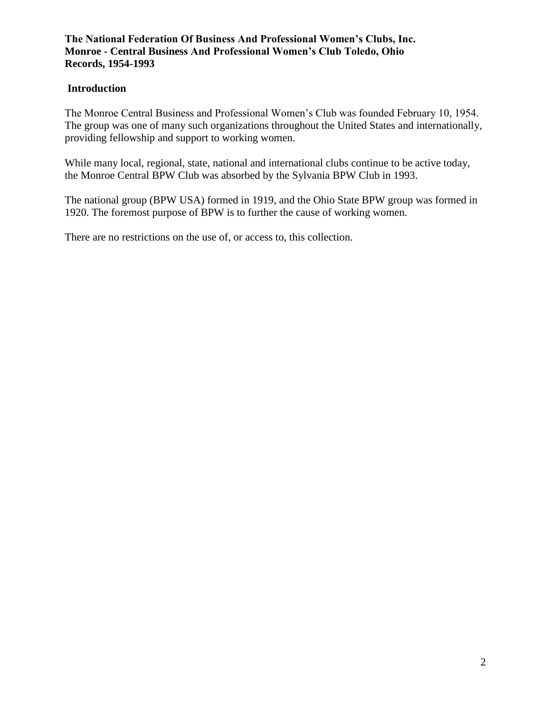## **Introduction**

The Monroe Central Business and Professional Women's Club was founded February 10, 1954. The group was one of many such organizations throughout the United States and internationally, providing fellowship and support to working women.

While many local, regional, state, national and international clubs continue to be active today, the Monroe Central BPW Club was absorbed by the Sylvania BPW Club in 1993.

The national group (BPW USA) formed in 1919, and the Ohio State BPW group was formed in 1920. The foremost purpose of BPW is to further the cause of working women.

There are no restrictions on the use of, or access to, this collection.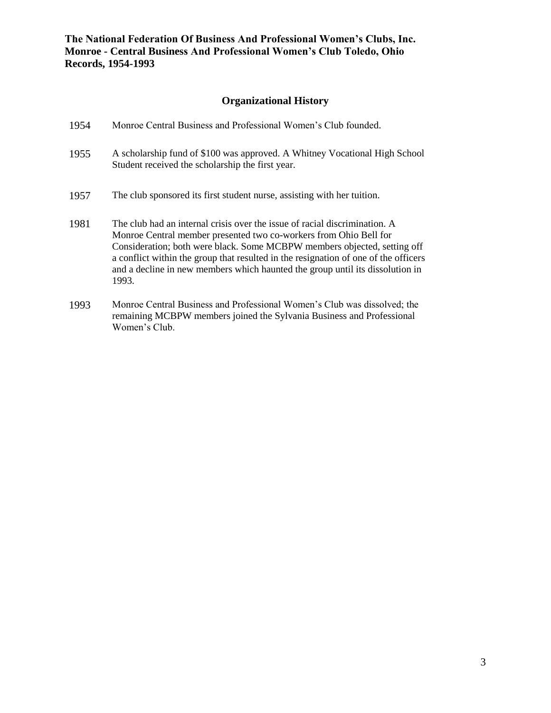## **Organizational History**

| 1954 | Monroe Central Business and Professional Women's Club founded.                                                                                                                                                                                                                                                                                                                                               |
|------|--------------------------------------------------------------------------------------------------------------------------------------------------------------------------------------------------------------------------------------------------------------------------------------------------------------------------------------------------------------------------------------------------------------|
| 1955 | A scholarship fund of \$100 was approved. A Whitney Vocational High School<br>Student received the scholarship the first year.                                                                                                                                                                                                                                                                               |
| 1957 | The club sponsored its first student nurse, assisting with her tuition.                                                                                                                                                                                                                                                                                                                                      |
| 1981 | The club had an internal crisis over the issue of racial discrimination. A<br>Monroe Central member presented two co-workers from Ohio Bell for<br>Consideration; both were black. Some MCBPW members objected, setting off<br>a conflict within the group that resulted in the resignation of one of the officers<br>and a decline in new members which haunted the group until its dissolution in<br>1993. |
| 1993 | Monroe Central Business and Professional Women's Club was dissolved; the                                                                                                                                                                                                                                                                                                                                     |

remaining MCBPW members joined the Sylvania Business and Professional

Women's Club.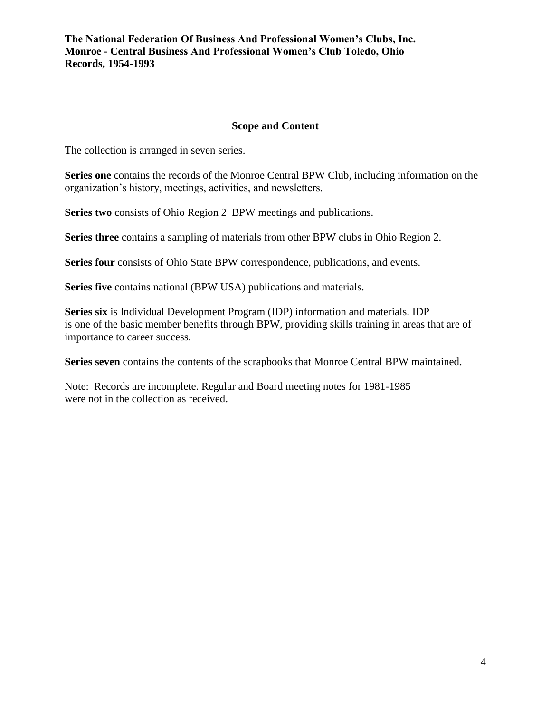#### **Scope and Content**

The collection is arranged in seven series.

**Series one** contains the records of the Monroe Central BPW Club, including information on the organization's history, meetings, activities, and newsletters.

**Series two** consists of Ohio Region 2 BPW meetings and publications.

**Series three** contains a sampling of materials from other BPW clubs in Ohio Region 2.

**Series four** consists of Ohio State BPW correspondence, publications, and events.

**Series five** contains national (BPW USA) publications and materials.

**Series six** is Individual Development Program (IDP) information and materials. IDP is one of the basic member benefits through BPW, providing skills training in areas that are of importance to career success.

**Series seven** contains the contents of the scrapbooks that Monroe Central BPW maintained.

Note: Records are incomplete. Regular and Board meeting notes for 1981-1985 were not in the collection as received.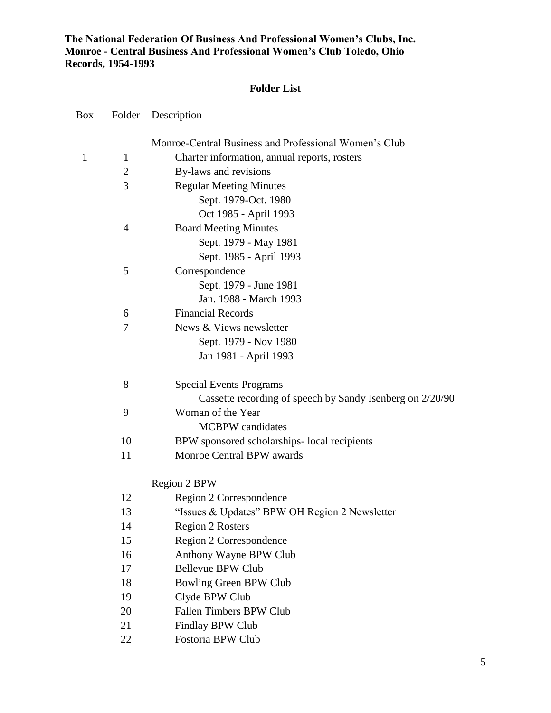## **Folder List**

| <u>Box</u> | <b>Folder</b>  | Description                                               |
|------------|----------------|-----------------------------------------------------------|
|            |                | Monroe-Central Business and Professional Women's Club     |
| 1          | 1              | Charter information, annual reports, rosters              |
|            | $\overline{2}$ | By-laws and revisions                                     |
|            | 3              | <b>Regular Meeting Minutes</b>                            |
|            |                | Sept. 1979-Oct. 1980                                      |
|            |                | Oct 1985 - April 1993                                     |
|            | 4              | <b>Board Meeting Minutes</b>                              |
|            |                | Sept. 1979 - May 1981                                     |
|            |                | Sept. 1985 - April 1993                                   |
|            | 5              | Correspondence                                            |
|            |                | Sept. 1979 - June 1981                                    |
|            |                | Jan. 1988 - March 1993                                    |
|            | 6              | <b>Financial Records</b>                                  |
|            | 7              | News & Views newsletter                                   |
|            |                | Sept. 1979 - Nov 1980                                     |
|            |                | Jan 1981 - April 1993                                     |
|            | 8              | <b>Special Events Programs</b>                            |
|            |                | Cassette recording of speech by Sandy Isenberg on 2/20/90 |
|            | 9              | Woman of the Year                                         |
|            |                | <b>MCBPW</b> candidates                                   |
|            | 10             | BPW sponsored scholarships- local recipients              |
|            | 11             | Monroe Central BPW awards                                 |
|            |                | Region 2 BPW                                              |
|            | 12             | Region 2 Correspondence                                   |
|            | 13             | "Issues & Updates" BPW OH Region 2 Newsletter             |
|            | 14             | <b>Region 2 Rosters</b>                                   |
|            | 15             | Region 2 Correspondence                                   |
|            | 16             | Anthony Wayne BPW Club                                    |
|            | 17             | <b>Bellevue BPW Club</b>                                  |
|            | 18             | Bowling Green BPW Club                                    |
|            | 19             | Clyde BPW Club                                            |
|            | 20             | Fallen Timbers BPW Club                                   |
|            | 21             | Findlay BPW Club                                          |

22 Fostoria BPW Club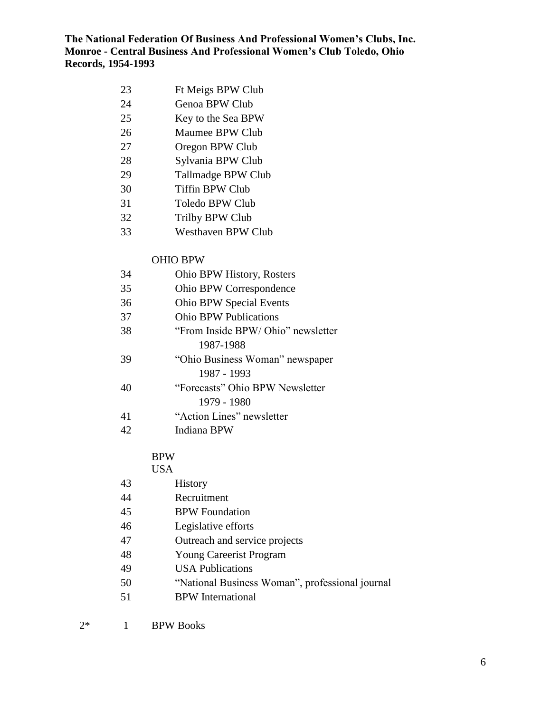- Ft Meigs BPW Club
- Genoa BPW Club
- Key to the Sea BPW
- Maumee BPW Club
- Oregon BPW Club
- Sylvania BPW Club
- Tallmadge BPW Club
- Tiffin BPW Club
- Toledo BPW Club
- Trilby BPW Club
- Westhaven BPW Club

## OHIO BPW

| 34 | Ohio BPW History, Rosters         |
|----|-----------------------------------|
| 35 | Ohio BPW Correspondence           |
| 36 | <b>Ohio BPW Special Events</b>    |
| 37 | <b>Ohio BPW Publications</b>      |
| 38 | "From Inside BPW/Ohio" newsletter |
|    | 1987-1988                         |
| 39 | "Ohio Business Woman" newspaper   |
|    | 1987 - 1993                       |
| 40 | "Forecasts" Ohio BPW Newsletter   |
|    | 1979 - 1980                       |
| 41 | "Action Lines" newsletter         |
| 42 | Indiana BPW                       |

## BPW

#### USA

| 43 | <b>History</b>                                  |
|----|-------------------------------------------------|
| 44 | Recruitment                                     |
| 45 | <b>BPW</b> Foundation                           |
| 46 | Legislative efforts                             |
| 47 | Outreach and service projects                   |
| 48 | <b>Young Careerist Program</b>                  |
| 49 | <b>USA</b> Publications                         |
| 50 | "National Business Woman", professional journal |
| 51 | <b>BPW</b> International                        |
|    |                                                 |

2\* 1 BPW Books